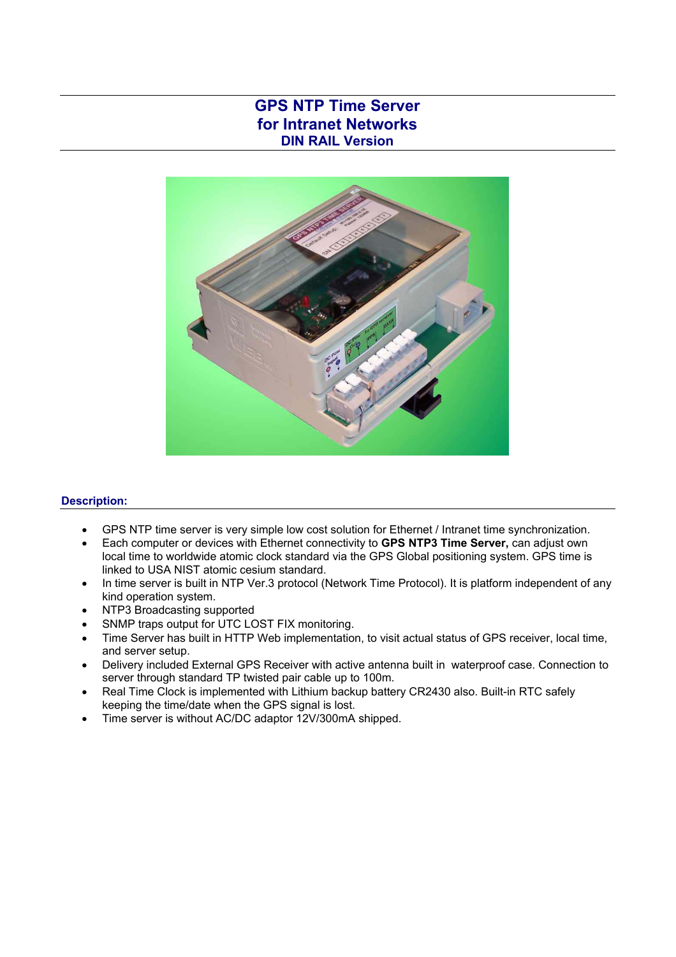## **GPS NTP Time Server for Intranet Networks DIN RAIL Version**



## **Description:**

- GPS NTP time server is very simple low cost solution for Ethernet / Intranet time synchronization.
- Each computer or devices with Ethernet connectivity to **GPS NTP3 Time Server,** can adjust own local time to worldwide atomic clock standard via the GPS Global positioning system. GPS time is linked to USA NIST atomic cesium standard.
- In time server is built in NTP Ver.3 protocol (Network Time Protocol). It is platform independent of any kind operation system.
- NTP3 Broadcasting supported
- SNMP traps output for UTC LOST FIX monitoring.
- Time Server has built in HTTP Web implementation, to visit actual status of GPS receiver, local time, and server setup.
- Delivery included External GPS Receiver with active antenna built in waterproof case. Connection to server through standard TP twisted pair cable up to 100m.
- Real Time Clock is implemented with Lithium backup battery CR2430 also. Built-in RTC safely keeping the time/date when the GPS signal is lost.
- Time server is without AC/DC adaptor 12V/300mA shipped.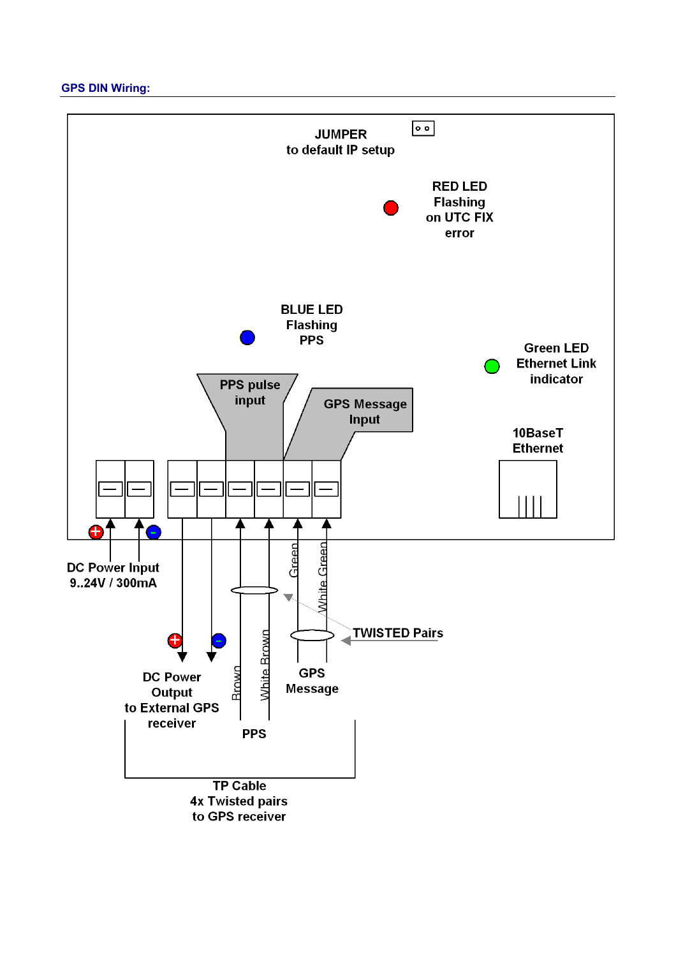**GPS DIN Wiring:** 

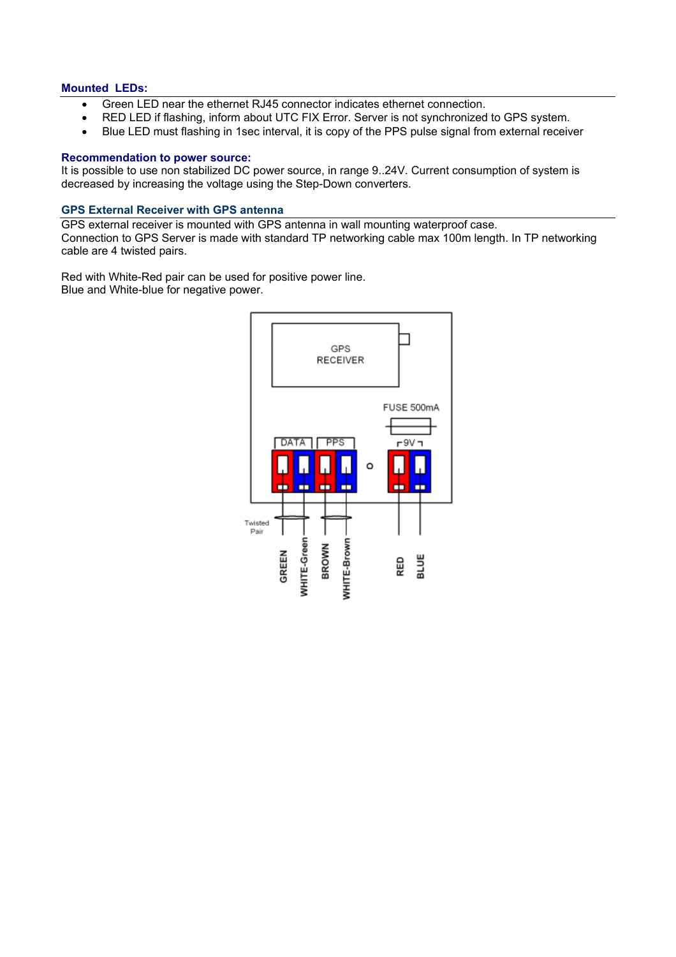#### **Mounted LEDs:**

- Green LED near the ethernet RJ45 connector indicates ethernet connection.
- RED LED if flashing, inform about UTC FIX Error. Server is not synchronized to GPS system.
- Blue LED must flashing in 1sec interval, it is copy of the PPS pulse signal from external receiver

### **Recommendation to power source:**

It is possible to use non stabilized DC power source, in range 9..24V. Current consumption of system is decreased by increasing the voltage using the Step-Down converters.

#### **GPS External Receiver with GPS antenna**

GPS external receiver is mounted with GPS antenna in wall mounting waterproof case. Connection to GPS Server is made with standard TP networking cable max 100m length. In TP networking cable are 4 twisted pairs.

Red with White-Red pair can be used for positive power line. Blue and White-blue for negative power.

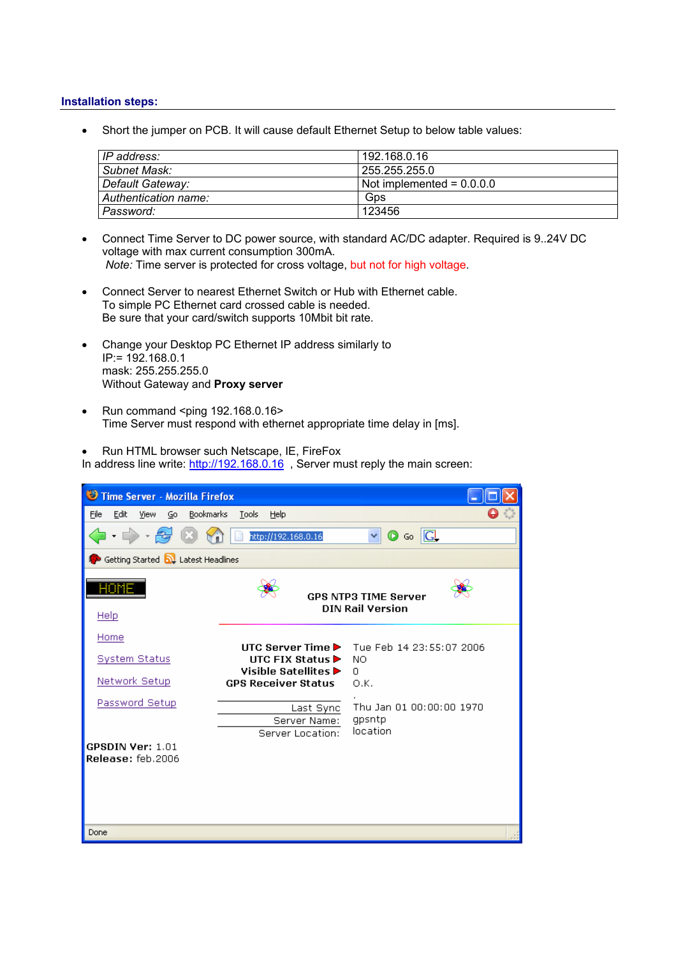#### **Installation steps:**

• Short the jumper on PCB. It will cause default Ethernet Setup to below table values:

| IP address:          | 192.168.0.16                |
|----------------------|-----------------------------|
| Subnet Mask:         | 255.255.255.0               |
| Default Gateway:     | Not implemented = $0.0.0$ . |
| Authentication name: | Gps                         |
| Password:            | 123456                      |

- Connect Time Server to DC power source, with standard AC/DC adapter. Required is 9..24V DC voltage with max current consumption 300mA.  *Note:* Time server is protected for cross voltage, but not for high voltage.
- Connect Server to nearest Ethernet Switch or Hub with Ethernet cable. To simple PC Ethernet card crossed cable is needed. Be sure that your card/switch supports 10Mbit bit rate.
- Change your Desktop PC Ethernet IP address similarly to IP:= 192.168.0.1 mask: 255.255.255.0 Without Gateway and **Proxy server**
- Run command <ping 192.168.0.16> Time Server must respond with ethernet appropriate time delay in [ms].

• Run HTML browser such Netscape, IE, FireFox

In address line write: http://192.168.0.16, Server must reply the main screen:

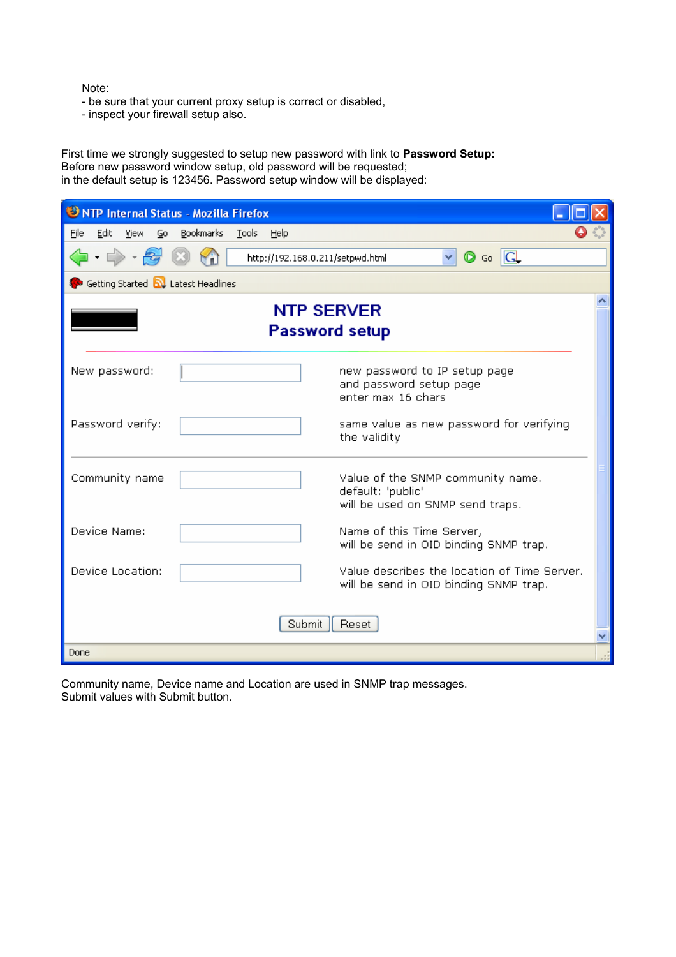Note:

- be sure that your current proxy setup is correct or disabled,
- inspect your firewall setup also.

First time we strongly suggested to setup new password with link to **Password Setup:**  Before new password window setup, old password will be requested; in the default setup is 123456. Password setup window will be displayed:

| <b>ONTP Internal Status - Mozilla Firefox</b>                                                                     |  |  |
|-------------------------------------------------------------------------------------------------------------------|--|--|
| File<br>Edit<br>Bookmarks<br>View<br>Tools<br>Help<br>Go                                                          |  |  |
| $ \rightarrow$ $\sim$ $\approx$<br>$\circledcirc$ Go $\circledcirc$<br>$\vee$<br>http://192.168.0.211/setpwd.html |  |  |
| Getting Started <b>by</b> Latest Headlines                                                                        |  |  |
| <b>NTP SERVER</b><br><b>Password setup</b>                                                                        |  |  |
| new password to IP setup page<br>New password:<br>and password setup page<br>enter max 16 chars                   |  |  |
| Password verify:<br>same value as new password for verifying<br>the validity                                      |  |  |
| Community name<br>Value of the SNMP community name.<br>default: 'public'<br>will be used on SNMP send traps.      |  |  |
| Device Name:<br>Name of this Time Server,<br>will be send in OID binding SNMP trap.                               |  |  |
| Device Location:<br>Value describes the location of Time Server.<br>will be send in OID binding SNMP trap.        |  |  |
| Submit<br>Reset                                                                                                   |  |  |
| Done                                                                                                              |  |  |

Community name, Device name and Location are used in SNMP trap messages. Submit values with Submit button.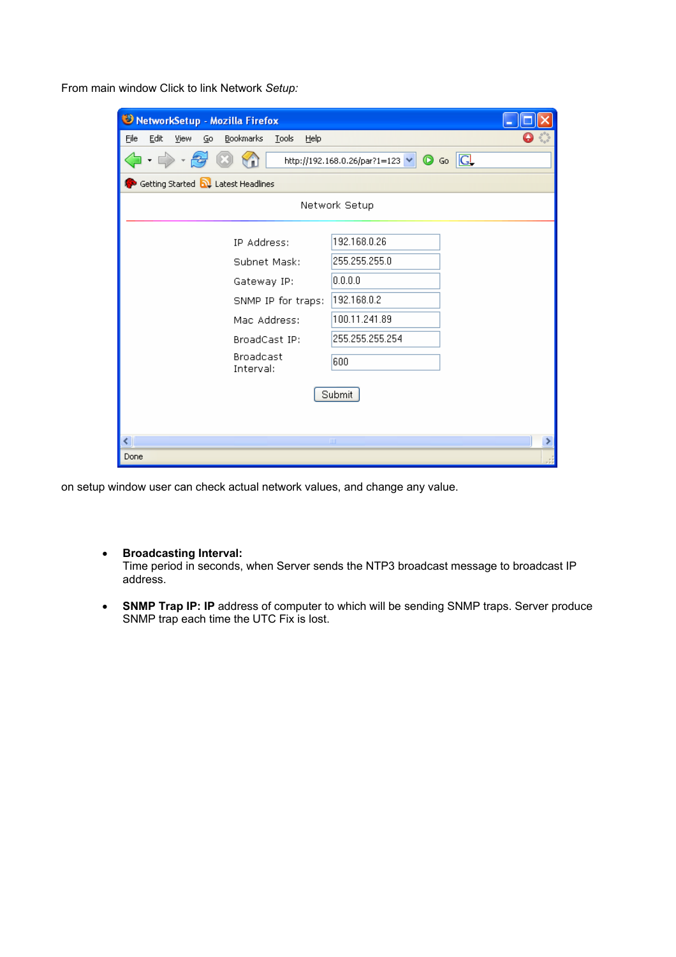From main window Click to link Network *Setup:* 

| NetworkSetup - Mozilla Firefox                                             |                 |  |  |
|----------------------------------------------------------------------------|-----------------|--|--|
| Eile<br>Edit<br>Bookmarks<br>View<br>$\mathsf{Go}$<br><b>Tools</b><br>Help |                 |  |  |
| $-2$<br>http://192.168.0.26/par?1=123 $\vee$ $\circ$ Go $\circ$            |                 |  |  |
| Getting Started <b>N</b> Latest Headlines                                  |                 |  |  |
| Network Setup                                                              |                 |  |  |
| IP Address:                                                                | 192.168.0.26    |  |  |
| Subnet Mask:                                                               | 255.255.255.0   |  |  |
| Gateway IP:                                                                | 0.0.0.0         |  |  |
| SNMP IP for traps:                                                         | 192.168.0.2     |  |  |
| Mac Address:                                                               | 100.11.241.89   |  |  |
| BroadCast IP:                                                              | 255.255.255.254 |  |  |
| <b>Broadcast</b><br>Interval:                                              | 600             |  |  |
| Submit                                                                     |                 |  |  |
|                                                                            |                 |  |  |
| ≺∣                                                                         | $\rm{III}$      |  |  |
| Done                                                                       |                 |  |  |

on setup window user can check actual network values, and change any value.

• **Broadcasting Interval:** 

Time period in seconds, when Server sends the NTP3 broadcast message to broadcast IP address.

• **SNMP Trap IP: IP** address of computer to which will be sending SNMP traps. Server produce SNMP trap each time the UTC Fix is lost.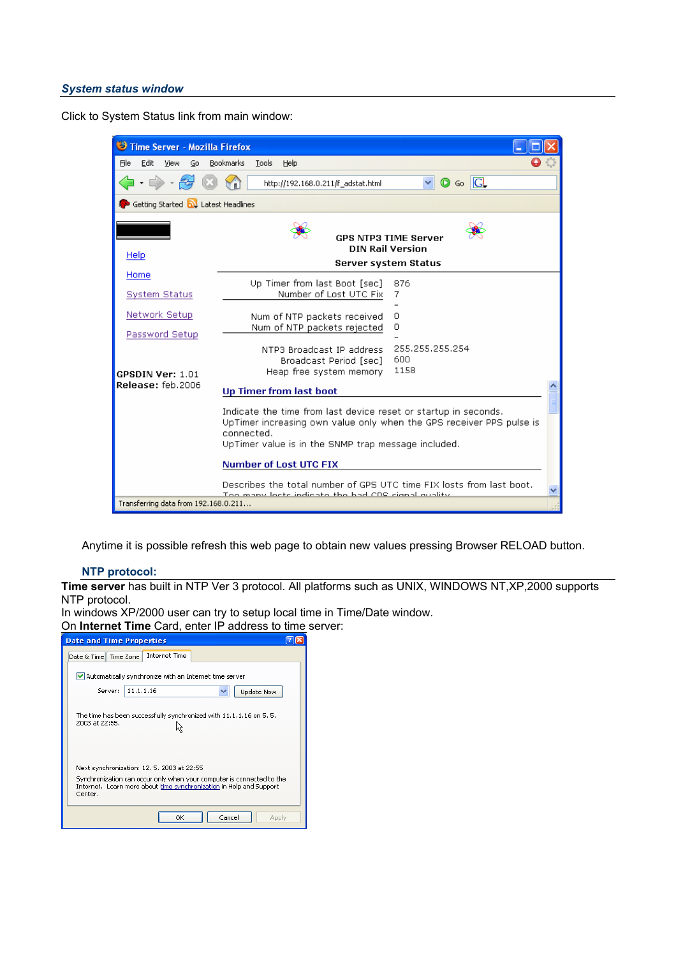#### *System status window*

Click to System Status link from main window:



Anytime it is possible refresh this web page to obtain new values pressing Browser RELOAD button.

## **NTP protocol:**

**Time server** has built in NTP Ver 3 protocol. All platforms such as UNIX, WINDOWS NT,XP,2000 supports NTP protocol.

In windows XP/2000 user can try to setup local time in Time/Date window.

On **Internet Time** Card, enter IP address to time server:

| <b>Date and Time Properties</b>                                                                                                                         |  |  |
|---------------------------------------------------------------------------------------------------------------------------------------------------------|--|--|
| <b>Internet Time</b><br>Date & Time   Time Zone                                                                                                         |  |  |
| $\vee$ Automatically synchronize with an Internet time server                                                                                           |  |  |
| 11.1.1.16<br>Server:<br>Update Now                                                                                                                      |  |  |
| The time has been successfully synchronized with 11.1.1.16 on 5, 5,<br>2003 at 22:55.                                                                   |  |  |
| Next synchronization: 12, 5, 2003 at 22:55                                                                                                              |  |  |
| Synchronization can occur only when your computer is connected to the<br>Internet. Learn more about time synchronization in Help and Support<br>Center. |  |  |
| OK<br>Cancel<br>Apply                                                                                                                                   |  |  |